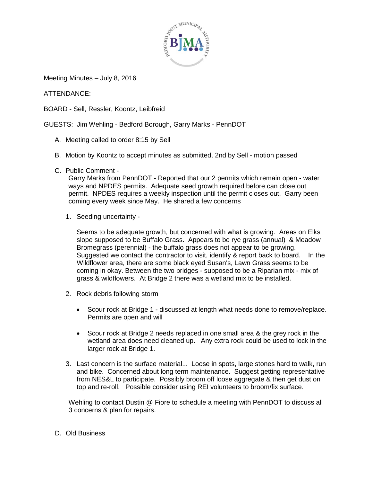

Meeting Minutes – July 8, 2016

ATTENDANCE:

BOARD - Sell, Ressler, Koontz, Leibfreid

GUESTS: Jim Wehling - Bedford Borough, Garry Marks - PennDOT

- A. Meeting called to order 8:15 by Sell
- B. Motion by Koontz to accept minutes as submitted, 2nd by Sell motion passed
- C. Public Comment -

Garry Marks from PennDOT - Reported that our 2 permits which remain open - water ways and NPDES permits. Adequate seed growth required before can close out permit. NPDES requires a weekly inspection until the permit closes out. Garry been coming every week since May. He shared a few concerns

1. Seeding uncertainty -

Seems to be adequate growth, but concerned with what is growing. Areas on Elks slope supposed to be Buffalo Grass. Appears to be rye grass (annual) & Meadow Bromegrass (perennial) - the buffalo grass does not appear to be growing. Suggested we contact the contractor to visit, identify & report back to board. In the Wildflower area, there are some black eyed Susan's, Lawn Grass seems to be coming in okay. Between the two bridges - supposed to be a Riparian mix - mix of grass & wildflowers. At Bridge 2 there was a wetland mix to be installed.

- 2. Rock debris following storm
	- Scour rock at Bridge 1 discussed at length what needs done to remove/replace. Permits are open and will
	- Scour rock at Bridge 2 needs replaced in one small area & the grey rock in the wetland area does need cleaned up. Any extra rock could be used to lock in the larger rock at Bridge 1.
- 3. Last concern is the surface material... Loose in spots, large stones hard to walk, run and bike. Concerned about long term maintenance. Suggest getting representative from NES&L to participate. Possibly broom off loose aggregate & then get dust on top and re-roll. Possible consider using REI volunteers to broom/fix surface.

Wehling to contact Dustin @ Fiore to schedule a meeting with PennDOT to discuss all 3 concerns & plan for repairs.

D. Old Business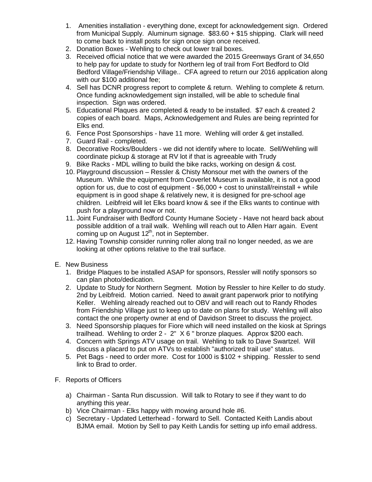- 1. Amenities installation everything done, except for acknowledgement sign. Ordered from Municipal Supply. Aluminum signage. \$83.60 + \$15 shipping. Clark will need to come back to install posts for sign once sign once received.
- 2. Donation Boxes Wehling to check out lower trail boxes.
- 3. Received official notice that we were awarded the 2015 Greenways Grant of 34,650 to help pay for update to study for Northern leg of trail from Fort Bedford to Old Bedford Village/Friendship Village.. CFA agreed to return our 2016 application along with our \$100 additional fee;
- 4. Sell has DCNR progress report to complete & return. Wehling to complete & return. Once funding acknowledgement sign installed, will be able to schedule final inspection. Sign was ordered.
- 5. Educational Plaques are completed & ready to be installed. \$7 each & created 2 copies of each board. Maps, Acknowledgement and Rules are being reprinted for Elks end.
- 6. Fence Post Sponsorships have 11 more. Wehling will order & get installed.
- 7. Guard Rail completed.
- 8. Decorative Rocks/Boulders we did not identify where to locate. Sell/Wehling will coordinate pickup & storage at RV lot if that is agreeable with Trudy
- 9. Bike Racks MDL willing to build the bike racks, working on design & cost.
- 10. Playground discussion Ressler & Chisty Monsour met with the owners of the Museum. While the equipment from Coverlet Museum is available, it is not a good option for us, due to cost of equipment -  $$6,000 + cost$  to uninstall/reinstall + while equipment is in good shape & relatively new, it is designed for pre-school age children. Leibfreid will let Elks board know & see if the Elks wants to continue with push for a playground now or not.
- 11. Joint Fundraiser with Bedford County Humane Society Have not heard back about possible addition of a trail walk. Wehling will reach out to Allen Harr again. Event coming up on August 12<sup>th</sup>, not in September.
- 12. Having Township consider running roller along trail no longer needed, as we are looking at other options relative to the trail surface.
- E. New Business
	- 1. Bridge Plaques to be installed ASAP for sponsors, Ressler will notify sponsors so can plan photo/dedication.
	- 2. Update to Study for Northern Segment. Motion by Ressler to hire Keller to do study. 2nd by Leibfreid. Motion carried. Need to await grant paperwork prior to notifying Keller. Wehling already reached out to OBV and will reach out to Randy Rhodes from Friendship Village just to keep up to date on plans for study. Wehling will also contact the one property owner at end of Davidson Street to discuss the project.
	- 3. Need Sponsorship plaques for Fiore which will need installed on the kiosk at Springs trailhead. Wehling to order 2 - 2" X 6 " bronze plaques. Approx \$200 each.
	- 4. Concern with Springs ATV usage on trail. Wehling to talk to Dave Swartzel. Will discuss a placard to put on ATVs to establish "authorized trail use" status.
	- 5. Pet Bags need to order more. Cost for 1000 is \$102 + shipping. Ressler to send link to Brad to order.
- F. Reports of Officers
	- a) Chairman Santa Run discussion. Will talk to Rotary to see if they want to do anything this year.
	- b) Vice Chairman Elks happy with mowing around hole #6.
	- c) Secretary Updated Letterhead forward to Sell. Contacted Keith Landis about BJMA email. Motion by Sell to pay Keith Landis for setting up info email address.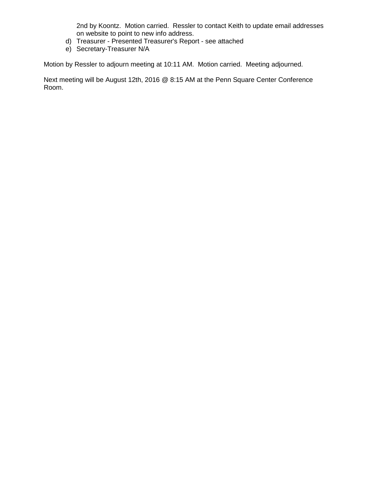2nd by Koontz. Motion carried. Ressler to contact Keith to update email addresses on website to point to new info address.

- d) Treasurer Presented Treasurer's Report see attached
- e) Secretary-Treasurer N/A

Motion by Ressler to adjourn meeting at 10:11 AM. Motion carried. Meeting adjourned.

Next meeting will be August 12th, 2016 @ 8:15 AM at the Penn Square Center Conference Room.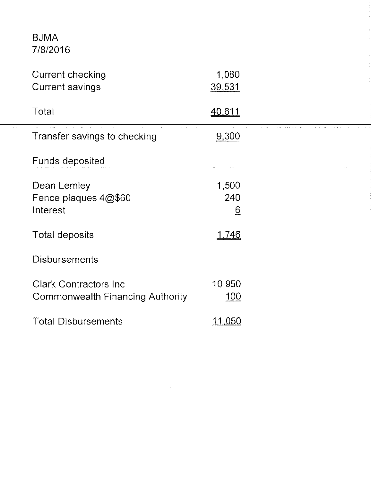## **BJMA** 7/8/2016

. . . . . . . . .

| <b>Current checking</b><br><b>Current savings</b>                 | 1,080<br>39,531                 |  |
|-------------------------------------------------------------------|---------------------------------|--|
| Total                                                             | <u>40,611</u>                   |  |
| Transfer savings to checking                                      | 9,300                           |  |
| <b>Funds deposited</b>                                            |                                 |  |
| Dean Lemley<br>Fence plaques 4@\$60<br>Interest                   | 1,500<br>240<br>$\underline{6}$ |  |
| <b>Total deposits</b>                                             | <u>1,746</u>                    |  |
| <b>Disbursements</b>                                              |                                 |  |
| <b>Clark Contractors Inc.</b><br>Commonwealth Financing Authority | 10,950<br>100                   |  |
| <b>Total Disbursements</b>                                        | .050                            |  |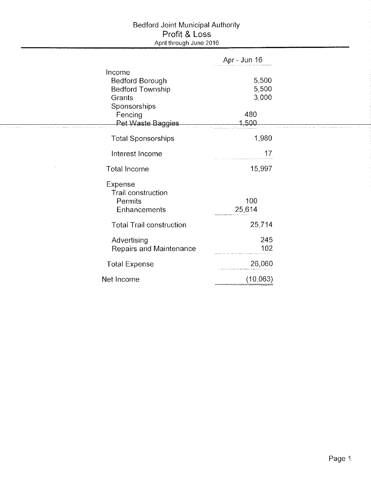## Bedford Joint Municipal Authority<br>Profit & Loss<br>April through June 2016

|                                                                                           | Apr - Jun 16                            |  |
|-------------------------------------------------------------------------------------------|-----------------------------------------|--|
| Income<br>Bedford Borough<br><b>Bedford Township</b><br>Grants<br>Sponsorships<br>Fencing | 5,500<br>5,500<br>3,000<br>480<br>1,500 |  |
| Pet Waste Baggies<br><b>Total Sponsorships</b>                                            | 1980                                    |  |
| Interest Income                                                                           | 17                                      |  |
| Total Income                                                                              | 15,997                                  |  |
| Expense<br>Trail construction<br>Permits<br>Enhancements                                  | 100<br>25,614                           |  |
| <b>Total Trail construction</b>                                                           | 25,714                                  |  |
| Advertising<br>Repairs and Maintenance                                                    | 245<br>102                              |  |
| <b>Total Expense</b>                                                                      | 26,060                                  |  |
| Net Income                                                                                | (10, 063)                               |  |